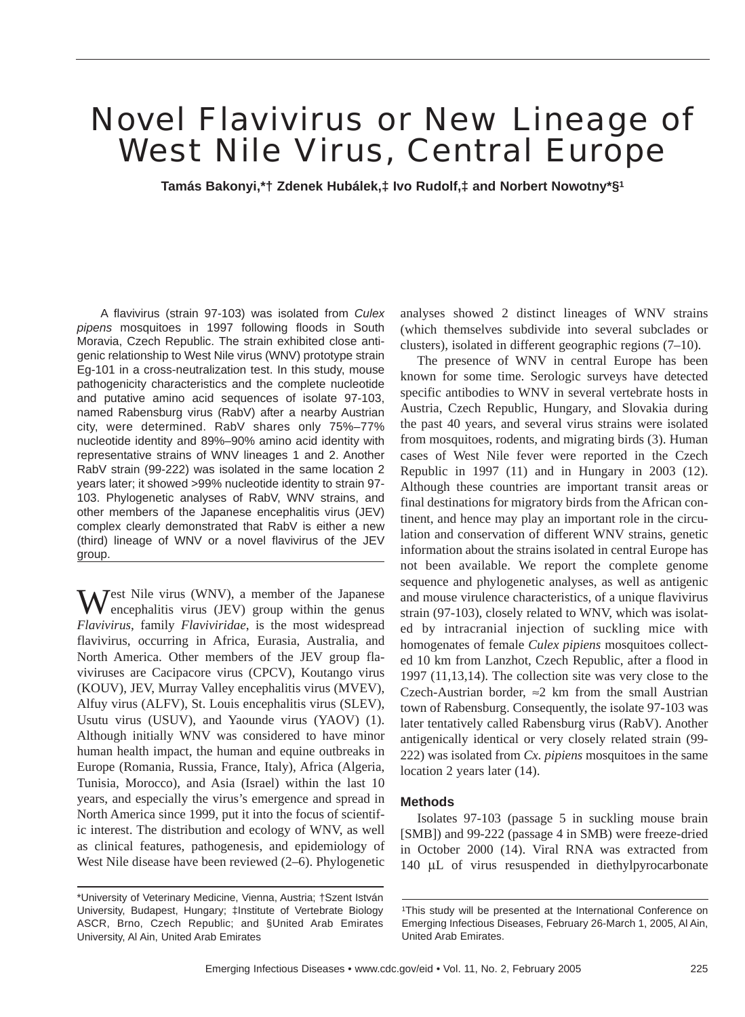# Novel Flavivirus or New Lineage of West Nile Virus, Central Europe

**Tamás Bakonyi,\*† Zdenek Hubálek,‡ Ivo Rudolf,‡ and Norbert Nowotny\*§1**

A flavivirus (strain 97-103) was isolated from *Culex pipens* mosquitoes in 1997 following floods in South Moravia, Czech Republic. The strain exhibited close antigenic relationship to West Nile virus (WNV) prototype strain Eg-101 in a cross-neutralization test. In this study, mouse pathogenicity characteristics and the complete nucleotide and putative amino acid sequences of isolate 97-103, named Rabensburg virus (RabV) after a nearby Austrian city, were determined. RabV shares only 75%–77% nucleotide identity and 89%–90% amino acid identity with representative strains of WNV lineages 1 and 2. Another RabV strain (99-222) was isolated in the same location 2 years later; it showed >99% nucleotide identity to strain 97- 103. Phylogenetic analyses of RabV, WNV strains, and other members of the Japanese encephalitis virus (JEV) complex clearly demonstrated that RabV is either a new (third) lineage of WNV or a novel flavivirus of the JEV group.

West Nile virus (WNV), a member of the Japanese encephalitis virus (JEV) group within the genus *Flavivirus*, family *Flaviviridae*, is the most widespread flavivirus, occurring in Africa, Eurasia, Australia, and North America. Other members of the JEV group flaviviruses are Cacipacore virus (CPCV), Koutango virus (KOUV), JEV, Murray Valley encephalitis virus (MVEV), Alfuy virus (ALFV), St. Louis encephalitis virus (SLEV), Usutu virus (USUV), and Yaounde virus (YAOV) (1). Although initially WNV was considered to have minor human health impact, the human and equine outbreaks in Europe (Romania, Russia, France, Italy), Africa (Algeria, Tunisia, Morocco), and Asia (Israel) within the last 10 years, and especially the virus's emergence and spread in North America since 1999, put it into the focus of scientific interest. The distribution and ecology of WNV, as well as clinical features, pathogenesis, and epidemiology of West Nile disease have been reviewed (2–6). Phylogenetic

analyses showed 2 distinct lineages of WNV strains (which themselves subdivide into several subclades or clusters), isolated in different geographic regions (7–10).

The presence of WNV in central Europe has been known for some time. Serologic surveys have detected specific antibodies to WNV in several vertebrate hosts in Austria, Czech Republic, Hungary, and Slovakia during the past 40 years, and several virus strains were isolated from mosquitoes, rodents, and migrating birds (3). Human cases of West Nile fever were reported in the Czech Republic in 1997 (11) and in Hungary in 2003 (12). Although these countries are important transit areas or final destinations for migratory birds from the African continent, and hence may play an important role in the circulation and conservation of different WNV strains, genetic information about the strains isolated in central Europe has not been available. We report the complete genome sequence and phylogenetic analyses, as well as antigenic and mouse virulence characteristics, of a unique flavivirus strain (97-103), closely related to WNV, which was isolated by intracranial injection of suckling mice with homogenates of female *Culex pipiens* mosquitoes collected 10 km from Lanzhot, Czech Republic, after a flood in 1997 (11,13,14). The collection site was very close to the Czech-Austrian border,  $\approx$ 2 km from the small Austrian town of Rabensburg. Consequently, the isolate 97-103 was later tentatively called Rabensburg virus (RabV). Another antigenically identical or very closely related strain (99- 222) was isolated from *Cx. pipiens* mosquitoes in the same location 2 years later (14).

#### **Methods**

Isolates 97-103 (passage 5 in suckling mouse brain [SMB]) and 99-222 (passage 4 in SMB) were freeze-dried in October 2000 (14). Viral RNA was extracted from 140 µL of virus resuspended in diethylpyrocarbonate

<sup>\*</sup>University of Veterinary Medicine, Vienna, Austria; †Szent István University, Budapest, Hungary; ‡Institute of Vertebrate Biology ASCR, Brno, Czech Republic; and §United Arab Emirates University, Al Ain, United Arab Emirates

<sup>1</sup>This study will be presented at the International Conference on Emerging Infectious Diseases, February 26-March 1, 2005, Al Ain, United Arab Emirates.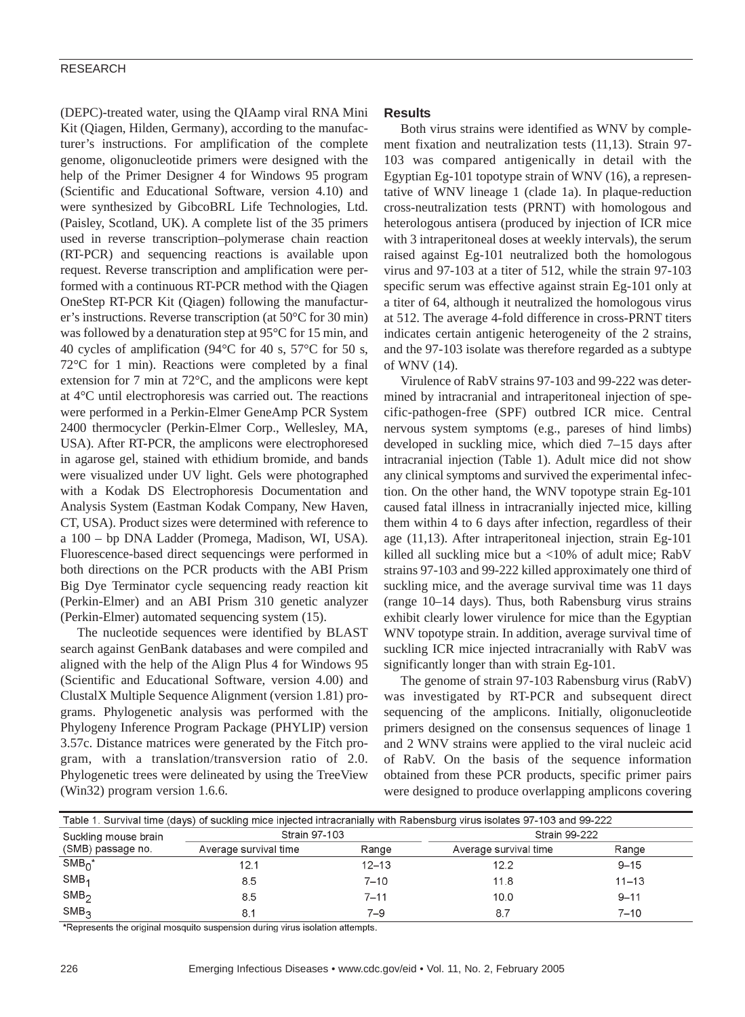#### RESEARCH

(DEPC)-treated water, using the QIAamp viral RNA Mini Kit (Qiagen, Hilden, Germany), according to the manufacturer's instructions. For amplification of the complete genome, oligonucleotide primers were designed with the help of the Primer Designer 4 for Windows 95 program (Scientific and Educational Software, version 4.10) and were synthesized by GibcoBRL Life Technologies, Ltd. (Paisley, Scotland, UK). A complete list of the 35 primers used in reverse transcription–polymerase chain reaction (RT-PCR) and sequencing reactions is available upon request. Reverse transcription and amplification were performed with a continuous RT-PCR method with the Qiagen OneStep RT-PCR Kit (Qiagen) following the manufacturer's instructions. Reverse transcription (at 50°C for 30 min) was followed by a denaturation step at 95°C for 15 min, and 40 cycles of amplification (94°C for 40 s, 57°C for 50 s, 72°C for 1 min). Reactions were completed by a final extension for 7 min at 72°C, and the amplicons were kept at 4°C until electrophoresis was carried out. The reactions were performed in a Perkin-Elmer GeneAmp PCR System 2400 thermocycler (Perkin-Elmer Corp., Wellesley, MA, USA). After RT-PCR, the amplicons were electrophoresed in agarose gel, stained with ethidium bromide, and bands were visualized under UV light. Gels were photographed with a Kodak DS Electrophoresis Documentation and Analysis System (Eastman Kodak Company, New Haven, CT, USA). Product sizes were determined with reference to a 100 – bp DNA Ladder (Promega, Madison, WI, USA). Fluorescence-based direct sequencings were performed in both directions on the PCR products with the ABI Prism Big Dye Terminator cycle sequencing ready reaction kit (Perkin-Elmer) and an ABI Prism 310 genetic analyzer (Perkin-Elmer) automated sequencing system (15).

The nucleotide sequences were identified by BLAST search against GenBank databases and were compiled and aligned with the help of the Align Plus 4 for Windows 95 (Scientific and Educational Software, version 4.00) and ClustalX Multiple Sequence Alignment (version 1.81) programs. Phylogenetic analysis was performed with the Phylogeny Inference Program Package (PHYLIP) version 3.57c. Distance matrices were generated by the Fitch program, with a translation/transversion ratio of 2.0. Phylogenetic trees were delineated by using the TreeView (Win32) program version 1.6.6.

#### **Results**

Both virus strains were identified as WNV by complement fixation and neutralization tests (11,13). Strain 97- 103 was compared antigenically in detail with the Egyptian Eg-101 topotype strain of WNV (16), a representative of WNV lineage 1 (clade 1a). In plaque-reduction cross-neutralization tests (PRNT) with homologous and heterologous antisera (produced by injection of ICR mice with 3 intraperitoneal doses at weekly intervals), the serum raised against Eg-101 neutralized both the homologous virus and 97-103 at a titer of 512, while the strain 97-103 specific serum was effective against strain Eg-101 only at a titer of 64, although it neutralized the homologous virus at 512. The average 4-fold difference in cross-PRNT titers indicates certain antigenic heterogeneity of the 2 strains, and the 97-103 isolate was therefore regarded as a subtype of WNV (14).

Virulence of RabV strains 97-103 and 99-222 was determined by intracranial and intraperitoneal injection of specific-pathogen-free (SPF) outbred ICR mice. Central nervous system symptoms (e.g., pareses of hind limbs) developed in suckling mice, which died 7–15 days after intracranial injection (Table 1). Adult mice did not show any clinical symptoms and survived the experimental infection. On the other hand, the WNV topotype strain Eg-101 caused fatal illness in intracranially injected mice, killing them within 4 to 6 days after infection, regardless of their age (11,13). After intraperitoneal injection, strain Eg-101 killed all suckling mice but a <10% of adult mice; RabV strains 97-103 and 99-222 killed approximately one third of suckling mice, and the average survival time was 11 days (range 10–14 days). Thus, both Rabensburg virus strains exhibit clearly lower virulence for mice than the Egyptian WNV topotype strain. In addition, average survival time of suckling ICR mice injected intracranially with RabV was significantly longer than with strain Eg-101.

The genome of strain 97-103 Rabensburg virus (RabV) was investigated by RT-PCR and subsequent direct sequencing of the amplicons. Initially, oligonucleotide primers designed on the consensus sequences of linage 1 and 2 WNV strains were applied to the viral nucleic acid of RabV. On the basis of the sequence information obtained from these PCR products, specific primer pairs were designed to produce overlapping amplicons covering

| Table 1. Survival time (days) of suckling mice injected intracranially with Rabensburg virus isolates 97-103 and 99-222 |                       |           |                       |           |  |  |  |  |
|-------------------------------------------------------------------------------------------------------------------------|-----------------------|-----------|-----------------------|-----------|--|--|--|--|
| Suckling mouse brain                                                                                                    | Strain 97-103         |           | <b>Strain 99-222</b>  |           |  |  |  |  |
| (SMB) passage no.                                                                                                       | Average survival time | Range     | Average survival time | Range     |  |  |  |  |
| $SMB0$ *                                                                                                                | 12.1                  | $12 - 13$ | 12.2                  | $9 - 15$  |  |  |  |  |
| $SMB_1$                                                                                                                 | 8.5                   | $7 - 10$  | 11.8                  | $11 - 13$ |  |  |  |  |
| SMB <sub>2</sub>                                                                                                        | 8.5                   | $7 - 11$  | 10.0                  | $9 - 11$  |  |  |  |  |
| SMB <sub>3</sub>                                                                                                        | 8.1                   | 7–9       | 8.7                   | $7 - 10$  |  |  |  |  |

\*Represents the original mosquito suspension during virus isolation attempts.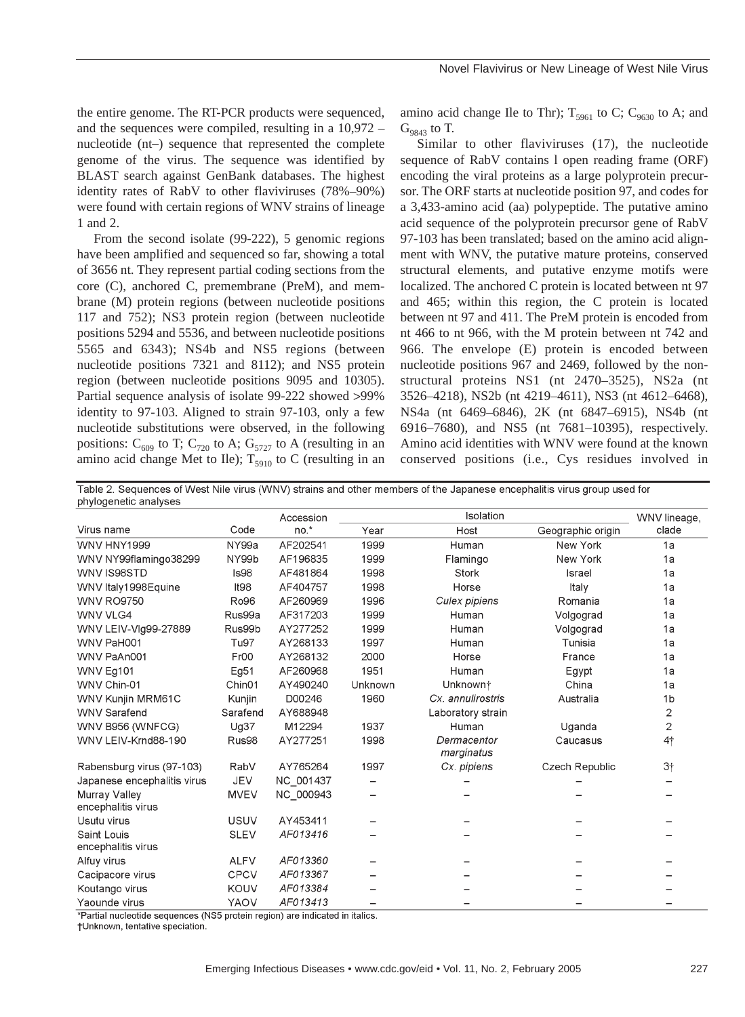the entire genome. The RT-PCR products were sequenced, and the sequences were compiled, resulting in a 10,972 – nucleotide (nt–) sequence that represented the complete genome of the virus. The sequence was identified by BLAST search against GenBank databases. The highest identity rates of RabV to other flaviviruses (78%–90%) were found with certain regions of WNV strains of lineage 1 and 2.

From the second isolate (99-222), 5 genomic regions have been amplified and sequenced so far, showing a total of 3656 nt. They represent partial coding sections from the core (C), anchored C, premembrane (PreM), and membrane (M) protein regions (between nucleotide positions 117 and 752); NS3 protein region (between nucleotide positions 5294 and 5536, and between nucleotide positions 5565 and 6343); NS4b and NS5 regions (between nucleotide positions 7321 and 8112); and NS5 protein region (between nucleotide positions 9095 and 10305). Partial sequence analysis of isolate 99-222 showed >99% identity to 97-103. Aligned to strain 97-103, only a few nucleotide substitutions were observed, in the following positions:  $C_{609}$  to T;  $C_{720}$  to A;  $G_{5727}$  to A (resulting in an amino acid change Met to Ile);  $T_{5910}$  to C (resulting in an amino acid change Ile to Thr);  $T_{5961}$  to C; C<sub>9630</sub> to A; and  $G_{9843}$  to T.

Similar to other flaviviruses (17), the nucleotide sequence of RabV contains l open reading frame (ORF) encoding the viral proteins as a large polyprotein precursor. The ORF starts at nucleotide position 97, and codes for a 3,433-amino acid (aa) polypeptide. The putative amino acid sequence of the polyprotein precursor gene of RabV 97-103 has been translated; based on the amino acid alignment with WNV, the putative mature proteins, conserved structural elements, and putative enzyme motifs were localized. The anchored C protein is located between nt 97 and 465; within this region, the C protein is located between nt 97 and 411. The PreM protein is encoded from nt 466 to nt 966, with the M protein between nt 742 and 966. The envelope (E) protein is encoded between nucleotide positions 967 and 2469, followed by the nonstructural proteins NS1 (nt 2470–3525), NS2a (nt 3526–4218), NS2b (nt 4219–4611), NS3 (nt 4612–6468), NS4a (nt 6469–6846), 2K (nt 6847–6915), NS4b (nt 6916–7680), and NS5 (nt 7681–10395), respectively. Amino acid identities with WNV were found at the known conserved positions (i.e., Cys residues involved in

Table 2. Sequences of West Nile virus (WNV) strains and other members of the Japanese encephalitis virus group used for phylogenetic analyses

|                                     |                    | Accession |         | Isolation                 |                   | WNV lineage,   |
|-------------------------------------|--------------------|-----------|---------|---------------------------|-------------------|----------------|
| Virus name                          | Code               | $no.*$    | Year    | Host                      | Geographic origin | clade          |
| WNV HNY1999                         | NY99a              | AF202541  | 1999    | Human                     | New York          | 1a             |
| WNV NY99flamingo38299               | NY99b              | AF196835  | 1999    | Flamingo                  | New York          | 1a             |
| WNV IS98STD                         | Is98               | AF481864  | 1998    | Stork                     | Israel            | 1a             |
| WNV Italy1998Equine                 | It98               | AF404757  | 1998    | Horse                     | Italy             | 1a             |
| <b>WNV RO9750</b>                   | Ro96               | AF260969  | 1996    | Culex pipiens             | Romania           | 1a             |
| <b>WNV VLG4</b>                     | Rus99a             | AF317203  | 1999    | Human                     | Volgograd         | 1a             |
| WNV LEIV-Vlg99-27889                | Rus99b             | AY277252  | 1999    | Human                     | Volgograd         | 1a             |
| WNV PaH001                          | Tu97               | AY268133  | 1997    | Human                     | Tunisia           | 1a             |
| WNV PaAn001                         | Fr00               | AY268132  | 2000    | Horse                     | France            | 1a             |
| WNV Eg101                           | Eg51               | AF260968  | 1951    | Human                     | Egypt             | 1a             |
| WNV Chin-01                         | Chin <sub>01</sub> | AY490240  | Unknown | Unknown <sup>+</sup>      | China             | 1a             |
| WNV Kunjin MRM61C                   | Kunjin             | D00246    | 1960    | Cx. annulirostris         | Australia         | 1 <sub>b</sub> |
| <b>WNV Sarafend</b>                 | Sarafend           | AY688948  |         | Laboratory strain         |                   | 2              |
| WNV B956 (WNFCG)                    | Ug37               | M12294    | 1937    | Human                     | Uganda            | 2              |
| WNV LEIV-Krnd88-190                 | Rus98              | AY277251  | 1998    | Dermacentor<br>marginatus | Caucasus          | 4†             |
| Rabensburg virus (97-103)           | RabV               | AY765264  | 1997    | Cx. pipiens               | Czech Republic    | 3†             |
| Japanese encephalitis virus         | <b>JEV</b>         | NC 001437 |         |                           |                   |                |
| Murray Valley<br>encephalitis virus | <b>MVEV</b>        | NC 000943 |         |                           |                   |                |
| Usutu virus                         | <b>USUV</b>        | AY453411  |         |                           |                   |                |
| Saint Louis<br>encephalitis virus   | <b>SLEV</b>        | AF013416  |         |                           |                   |                |
| Alfuy virus                         | <b>ALFV</b>        | AF013360  |         |                           |                   |                |
| Cacipacore virus                    | <b>CPCV</b>        | AF013367  |         |                           |                   |                |
| Koutango virus                      | KOUV               | AF013384  |         |                           |                   |                |
| Yaounde virus                       | YAOV               | AF013413  |         |                           |                   |                |

\*Partial nucleotide sequences (NS5 protein region) are indicated in italics.

†Unknown, tentative speciation.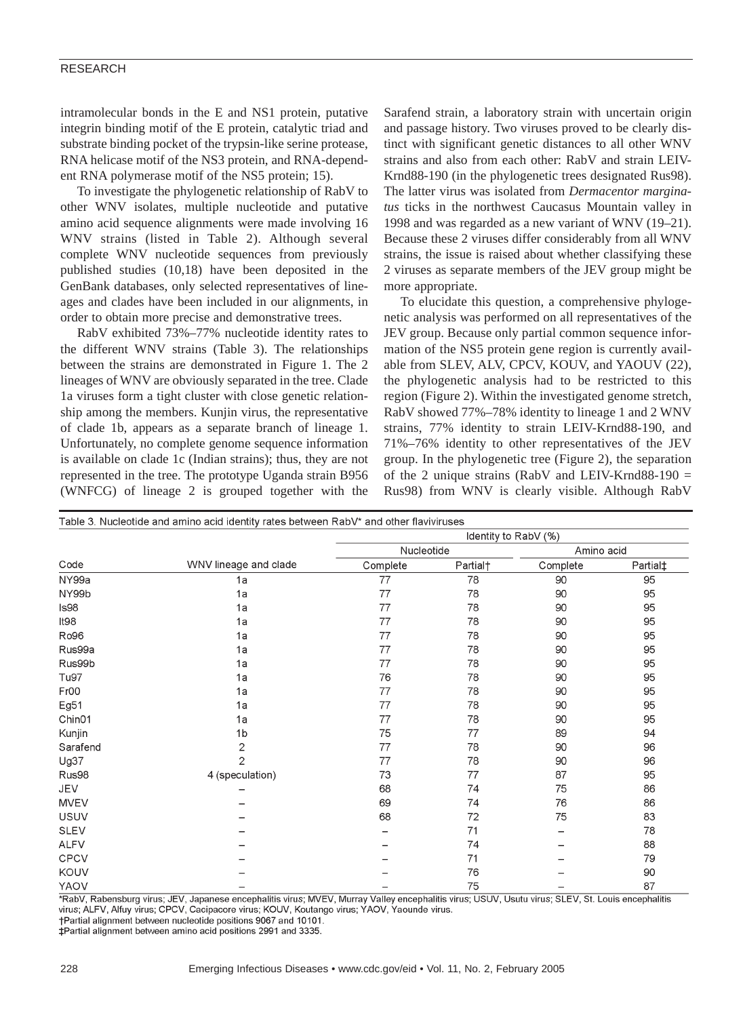#### RESEARCH

intramolecular bonds in the E and NS1 protein, putative integrin binding motif of the E protein, catalytic triad and substrate binding pocket of the trypsin-like serine protease, RNA helicase motif of the NS3 protein, and RNA-dependent RNA polymerase motif of the NS5 protein; 15).

To investigate the phylogenetic relationship of RabV to other WNV isolates, multiple nucleotide and putative amino acid sequence alignments were made involving 16 WNV strains (listed in Table 2). Although several complete WNV nucleotide sequences from previously published studies (10,18) have been deposited in the GenBank databases, only selected representatives of lineages and clades have been included in our alignments, in order to obtain more precise and demonstrative trees.

RabV exhibited 73%–77% nucleotide identity rates to the different WNV strains (Table 3). The relationships between the strains are demonstrated in Figure 1. The 2 lineages of WNV are obviously separated in the tree. Clade 1a viruses form a tight cluster with close genetic relationship among the members. Kunjin virus, the representative of clade 1b, appears as a separate branch of lineage 1. Unfortunately, no complete genome sequence information is available on clade 1c (Indian strains); thus, they are not represented in the tree. The prototype Uganda strain B956 (WNFCG) of lineage 2 is grouped together with the Sarafend strain, a laboratory strain with uncertain origin and passage history. Two viruses proved to be clearly distinct with significant genetic distances to all other WNV strains and also from each other: RabV and strain LEIV-Krnd88-190 (in the phylogenetic trees designated Rus98). The latter virus was isolated from *Dermacentor marginatus* ticks in the northwest Caucasus Mountain valley in 1998 and was regarded as a new variant of WNV (19–21). Because these 2 viruses differ considerably from all WNV strains, the issue is raised about whether classifying these 2 viruses as separate members of the JEV group might be more appropriate.

To elucidate this question, a comprehensive phylogenetic analysis was performed on all representatives of the JEV group. Because only partial common sequence information of the NS5 protein gene region is currently available from SLEV, ALV, CPCV, KOUV, and YAOUV (22), the phylogenetic analysis had to be restricted to this region (Figure 2). Within the investigated genome stretch, RabV showed 77%–78% identity to lineage 1 and 2 WNV strains, 77% identity to strain LEIV-Krnd88-190, and 71%–76% identity to other representatives of the JEV group. In the phylogenetic tree (Figure 2), the separation of the 2 unique strains (RabV and LEIV-Krnd88-190  $=$ Rus98) from WNV is clearly visible. Although RabV

| Table 3. Nucleotide and amino acid identity rates between RabV* and other flaviviruses |                       |                      |                      |            |                      |  |  |  |
|----------------------------------------------------------------------------------------|-----------------------|----------------------|----------------------|------------|----------------------|--|--|--|
| Code                                                                                   |                       | Identity to RabV (%) |                      |            |                      |  |  |  |
|                                                                                        |                       | Nucleotide           |                      | Amino acid |                      |  |  |  |
|                                                                                        | WNV lineage and clade | Complete             | Partial <sup>+</sup> | Complete   | Partial <sup>+</sup> |  |  |  |
| NY99a                                                                                  | 1a                    | 77                   | 78                   | 90         | 95                   |  |  |  |
| NY99b                                                                                  | 1a                    | 77                   | 78                   | 90         | 95                   |  |  |  |
| Is98                                                                                   | 1a                    | 77                   | 78                   | 90         | 95                   |  |  |  |
| It98                                                                                   | 1a                    | 77                   | 78                   | 90         | 95                   |  |  |  |
| Ro96                                                                                   | 1a                    | 77                   | 78                   | 90         | 95                   |  |  |  |
| Rus99a                                                                                 | 1a                    | 77                   | 78                   | 90         | 95                   |  |  |  |
| Rus99b                                                                                 | 1a                    | 77                   | 78                   | 90         | 95                   |  |  |  |
| Tu97                                                                                   | 1a                    | 76                   | 78                   | 90         | 95                   |  |  |  |
| Fr00                                                                                   | 1a                    | 77                   | 78                   | 90         | 95                   |  |  |  |
| Eg51                                                                                   | 1a                    | 77                   | 78                   | 90         | 95                   |  |  |  |
| Chin01                                                                                 | 1a                    | 77                   | 78                   | 90         | 95                   |  |  |  |
| Kunjin                                                                                 | 1 <sub>b</sub>        | 75                   | 77                   | 89         | 94                   |  |  |  |
| Sarafend                                                                               | $\mathbf 2$           | 77                   | 78                   | 90         | 96                   |  |  |  |
| Ug37                                                                                   | $\overline{2}$        | 77                   | 78                   | 90         | 96                   |  |  |  |
| Rus98                                                                                  | 4 (speculation)       | 73                   | 77                   | 87         | 95                   |  |  |  |
| <b>JEV</b>                                                                             |                       | 68                   | 74                   | 75         | 86                   |  |  |  |
| <b>MVEV</b>                                                                            |                       | 69                   | 74                   | 76         | 86                   |  |  |  |
| <b>USUV</b>                                                                            |                       | 68                   | 72                   | 75         | 83                   |  |  |  |
| <b>SLEV</b>                                                                            |                       |                      | 71                   | -          | 78                   |  |  |  |
| ALFV                                                                                   |                       |                      | 74                   |            | 88                   |  |  |  |
| CPCV                                                                                   |                       |                      | 71                   |            | 79                   |  |  |  |
| KOUV                                                                                   |                       |                      | 76                   |            | 90                   |  |  |  |
| YAOV                                                                                   |                       |                      | 75                   |            | 87                   |  |  |  |

\*RabV, Rabensburg virus; JEV, Japanese encephalitis virus; MVEV, Murray Valley encephalitis virus; USUV, Usutu virus; SLEV, St. Louis encephalitis virus; ALFV, Alfuy virus; CPCV, Cacipacore virus; KOUV, Koutango virus; YAOV, Yaounde virus.

†Partial alignment between nucleotide positions 9067 and 10101.

‡Partial alignment between amino acid positions 2991 and 3335.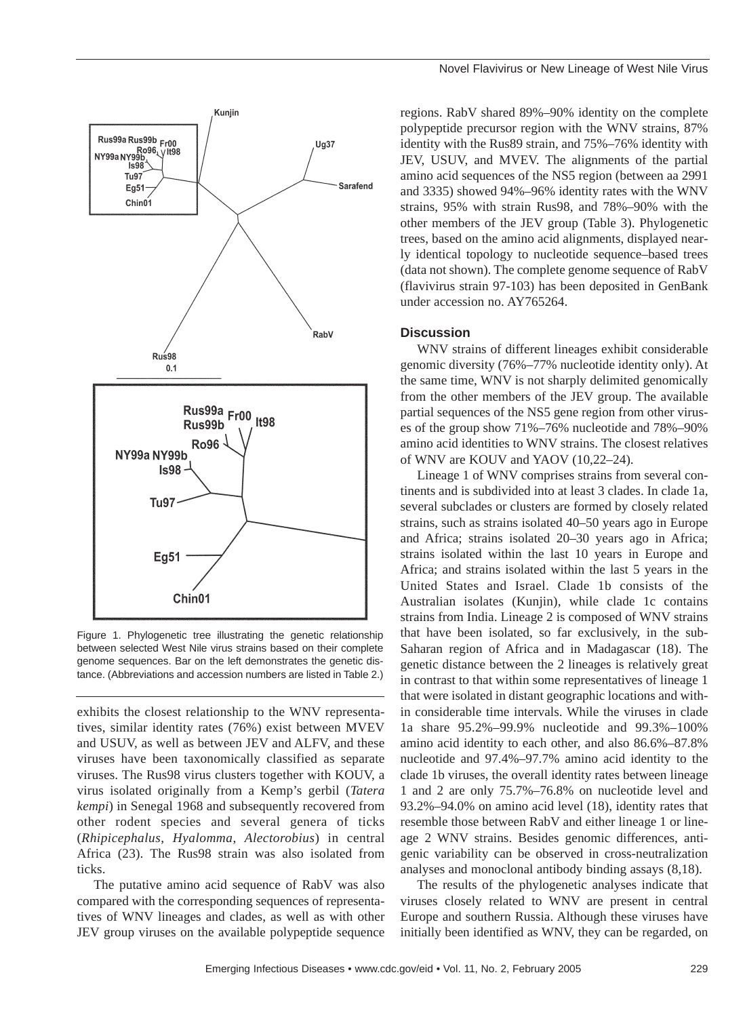

Figure 1. Phylogenetic tree illustrating the genetic relationship between selected West Nile virus strains based on their complete genome sequences. Bar on the left demonstrates the genetic distance. (Abbreviations and accession numbers are listed in Table 2.)

exhibits the closest relationship to the WNV representatives, similar identity rates (76%) exist between MVEV and USUV, as well as between JEV and ALFV, and these viruses have been taxonomically classified as separate viruses. The Rus98 virus clusters together with KOUV, a virus isolated originally from a Kemp's gerbil (*Tatera kempi*) in Senegal 1968 and subsequently recovered from other rodent species and several genera of ticks (*Rhipicephalus*, *Hyalomma*, *Alectorobius*) in central Africa (23). The Rus98 strain was also isolated from ticks.

The putative amino acid sequence of RabV was also compared with the corresponding sequences of representatives of WNV lineages and clades, as well as with other JEV group viruses on the available polypeptide sequence regions. RabV shared 89%–90% identity on the complete polypeptide precursor region with the WNV strains, 87% identity with the Rus89 strain, and 75%–76% identity with JEV, USUV, and MVEV. The alignments of the partial amino acid sequences of the NS5 region (between aa 2991 and 3335) showed 94%–96% identity rates with the WNV strains, 95% with strain Rus98, and 78%–90% with the other members of the JEV group (Table 3). Phylogenetic trees, based on the amino acid alignments, displayed nearly identical topology to nucleotide sequence–based trees (data not shown). The complete genome sequence of RabV (flavivirus strain 97-103) has been deposited in GenBank under accession no. AY765264.

#### **Discussion**

WNV strains of different lineages exhibit considerable genomic diversity (76%–77% nucleotide identity only). At the same time, WNV is not sharply delimited genomically from the other members of the JEV group. The available partial sequences of the NS5 gene region from other viruses of the group show 71%–76% nucleotide and 78%–90% amino acid identities to WNV strains. The closest relatives of WNV are KOUV and YAOV (10,22–24).

Lineage 1 of WNV comprises strains from several continents and is subdivided into at least 3 clades. In clade 1a, several subclades or clusters are formed by closely related strains, such as strains isolated 40–50 years ago in Europe and Africa; strains isolated 20–30 years ago in Africa; strains isolated within the last 10 years in Europe and Africa; and strains isolated within the last 5 years in the United States and Israel. Clade 1b consists of the Australian isolates (Kunjin), while clade 1c contains strains from India. Lineage 2 is composed of WNV strains that have been isolated, so far exclusively, in the sub-Saharan region of Africa and in Madagascar (18). The genetic distance between the 2 lineages is relatively great in contrast to that within some representatives of lineage 1 that were isolated in distant geographic locations and within considerable time intervals. While the viruses in clade 1a share 95.2%–99.9% nucleotide and 99.3%–100% amino acid identity to each other, and also 86.6%–87.8% nucleotide and 97.4%–97.7% amino acid identity to the clade 1b viruses, the overall identity rates between lineage 1 and 2 are only 75.7%–76.8% on nucleotide level and 93.2%–94.0% on amino acid level (18), identity rates that resemble those between RabV and either lineage 1 or lineage 2 WNV strains. Besides genomic differences, antigenic variability can be observed in cross-neutralization analyses and monoclonal antibody binding assays (8,18).

The results of the phylogenetic analyses indicate that viruses closely related to WNV are present in central Europe and southern Russia. Although these viruses have initially been identified as WNV, they can be regarded, on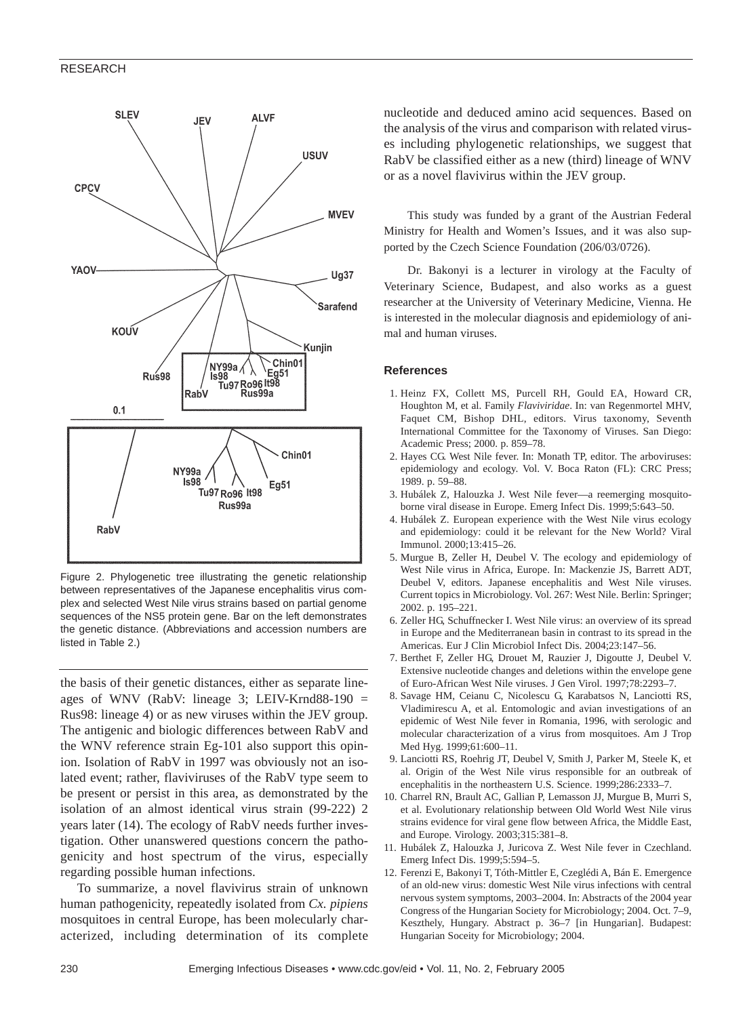#### RESEARCH



Figure 2. Phylogenetic tree illustrating the genetic relationship between representatives of the Japanese encephalitis virus complex and selected West Nile virus strains based on partial genome sequences of the NS5 protein gene. Bar on the left demonstrates the genetic distance. (Abbreviations and accession numbers are listed in Table 2.)

the basis of their genetic distances, either as separate lineages of WNV (RabV: lineage 3; LEIV-Krnd88-190  $=$ Rus98: lineage 4) or as new viruses within the JEV group. The antigenic and biologic differences between RabV and the WNV reference strain Eg-101 also support this opinion. Isolation of RabV in 1997 was obviously not an isolated event; rather, flaviviruses of the RabV type seem to be present or persist in this area, as demonstrated by the isolation of an almost identical virus strain (99-222) 2 years later (14). The ecology of RabV needs further investigation. Other unanswered questions concern the pathogenicity and host spectrum of the virus, especially regarding possible human infections.

To summarize, a novel flavivirus strain of unknown human pathogenicity, repeatedly isolated from *Cx. pipiens* mosquitoes in central Europe, has been molecularly characterized, including determination of its complete nucleotide and deduced amino acid sequences. Based on the analysis of the virus and comparison with related viruses including phylogenetic relationships, we suggest that RabV be classified either as a new (third) lineage of WNV or as a novel flavivirus within the JEV group.

This study was funded by a grant of the Austrian Federal Ministry for Health and Women's Issues, and it was also supported by the Czech Science Foundation (206/03/0726).

Dr. Bakonyi is a lecturer in virology at the Faculty of Veterinary Science, Budapest, and also works as a guest researcher at the University of Veterinary Medicine, Vienna. He is interested in the molecular diagnosis and epidemiology of animal and human viruses.

#### **References**

- 1. Heinz FX, Collett MS, Purcell RH, Gould EA, Howard CR, Houghton M, et al. Family *Flaviviridae*. In: van Regenmortel MHV, Faquet CM, Bishop DHL, editors. Virus taxonomy, Seventh International Committee for the Taxonomy of Viruses. San Diego: Academic Press; 2000. p. 859–78.
- 2. Hayes CG. West Nile fever. In: Monath TP, editor. The arboviruses: epidemiology and ecology. Vol. V. Boca Raton (FL): CRC Press; 1989. p. 59–88.
- 3. Hubálek Z, Halouzka J. West Nile fever—a reemerging mosquitoborne viral disease in Europe. Emerg Infect Dis. 1999;5:643–50.
- 4. Hubálek Z. European experience with the West Nile virus ecology and epidemiology: could it be relevant for the New World? Viral Immunol. 2000;13:415–26.
- 5. Murgue B, Zeller H, Deubel V. The ecology and epidemiology of West Nile virus in Africa, Europe. In: Mackenzie JS, Barrett ADT, Deubel V, editors. Japanese encephalitis and West Nile viruses. Current topics in Microbiology. Vol. 267: West Nile. Berlin: Springer; 2002. p. 195–221.
- 6. Zeller HG, Schuffnecker I. West Nile virus: an overview of its spread in Europe and the Mediterranean basin in contrast to its spread in the Americas. Eur J Clin Microbiol Infect Dis. 2004;23:147–56.
- 7. Berthet F, Zeller HG, Drouet M, Rauzier J, Digoutte J, Deubel V. Extensive nucleotide changes and deletions within the envelope gene of Euro-African West Nile viruses. J Gen Virol. 1997;78:2293–7.
- 8. Savage HM, Ceianu C, Nicolescu G, Karabatsos N, Lanciotti RS, Vladimirescu A, et al. Entomologic and avian investigations of an epidemic of West Nile fever in Romania, 1996, with serologic and molecular characterization of a virus from mosquitoes. Am J Trop Med Hyg. 1999;61:600–11.
- 9. Lanciotti RS, Roehrig JT, Deubel V, Smith J, Parker M, Steele K, et al. Origin of the West Nile virus responsible for an outbreak of encephalitis in the northeastern U.S. Science. 1999;286:2333–7.
- 10. Charrel RN, Brault AC, Gallian P, Lemasson JJ, Murgue B, Murri S, et al. Evolutionary relationship between Old World West Nile virus strains evidence for viral gene flow between Africa, the Middle East, and Europe. Virology. 2003;315:381–8.
- 11. Hubálek Z, Halouzka J, Juricova Z. West Nile fever in Czechland. Emerg Infect Dis. 1999;5:594–5.
- 12. Ferenzi E, Bakonyi T, Tóth-Mittler E, Czeglédi A, Bán E. Emergence of an old-new virus: domestic West Nile virus infections with central nervous system symptoms, 2003–2004. In: Abstracts of the 2004 year Congress of the Hungarian Society for Microbiology; 2004. Oct. 7–9, Keszthely, Hungary. Abstract p. 36–7 [in Hungarian]. Budapest: Hungarian Soceity for Microbiology; 2004.